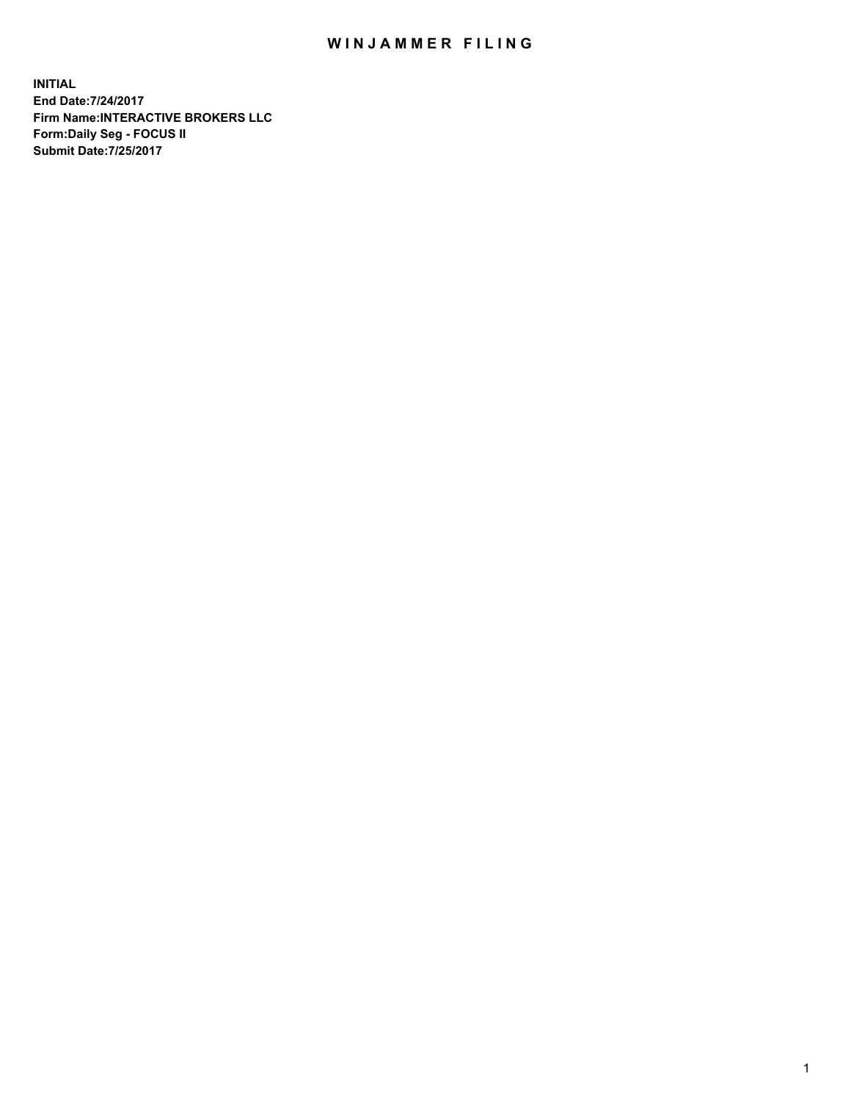## WIN JAMMER FILING

**INITIAL End Date:7/24/2017 Firm Name:INTERACTIVE BROKERS LLC Form:Daily Seg - FOCUS II Submit Date:7/25/2017**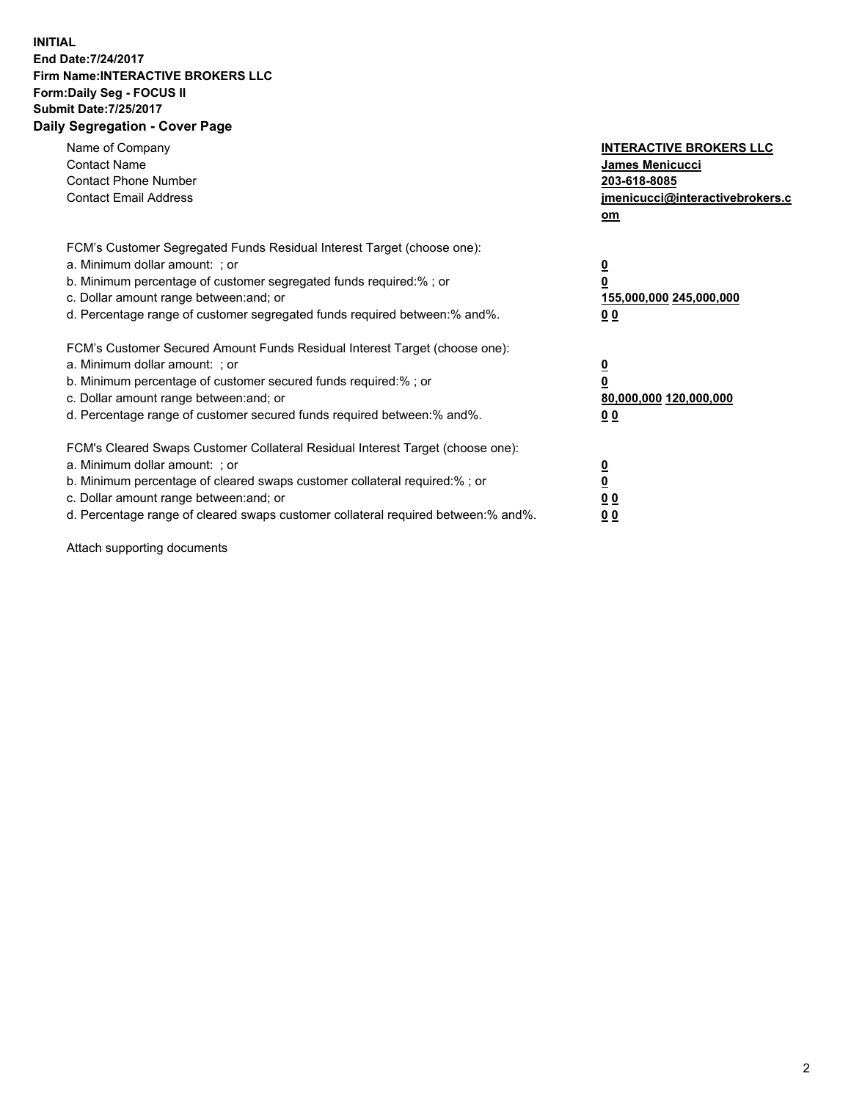## **INITIAL End Date:7/24/2017 Firm Name:INTERACTIVE BROKERS LLC Form:Daily Seg - FOCUS II Submit Date:7/25/2017 Daily Segregation - Cover Page**

| Name of Company<br><b>Contact Name</b><br><b>Contact Phone Number</b><br><b>Contact Email Address</b>                                                                                                                                                                                                                          | <b>INTERACTIVE BROKERS LLC</b><br><b>James Menicucci</b><br>203-618-8085<br>jmenicucci@interactivebrokers.c<br>om |
|--------------------------------------------------------------------------------------------------------------------------------------------------------------------------------------------------------------------------------------------------------------------------------------------------------------------------------|-------------------------------------------------------------------------------------------------------------------|
| FCM's Customer Segregated Funds Residual Interest Target (choose one):<br>a. Minimum dollar amount: ; or<br>b. Minimum percentage of customer segregated funds required:% ; or<br>c. Dollar amount range between: and; or<br>d. Percentage range of customer segregated funds required between:% and%.                         | $\overline{\mathbf{0}}$<br>0<br><u>155,000,000 245,000,000</u><br><u>00</u>                                       |
| FCM's Customer Secured Amount Funds Residual Interest Target (choose one):<br>a. Minimum dollar amount: ; or<br>b. Minimum percentage of customer secured funds required:%; or<br>c. Dollar amount range between: and; or<br>d. Percentage range of customer secured funds required between:% and%.                            | $\overline{\mathbf{0}}$<br>$\overline{\mathbf{0}}$<br>80,000,000 120,000,000<br>00                                |
| FCM's Cleared Swaps Customer Collateral Residual Interest Target (choose one):<br>a. Minimum dollar amount: ; or<br>b. Minimum percentage of cleared swaps customer collateral required:% ; or<br>c. Dollar amount range between: and; or<br>d. Percentage range of cleared swaps customer collateral required between:% and%. | $\underline{\mathbf{0}}$<br>$\underline{\mathbf{0}}$<br>0 <sub>0</sub><br>0 <sub>0</sub>                          |

Attach supporting documents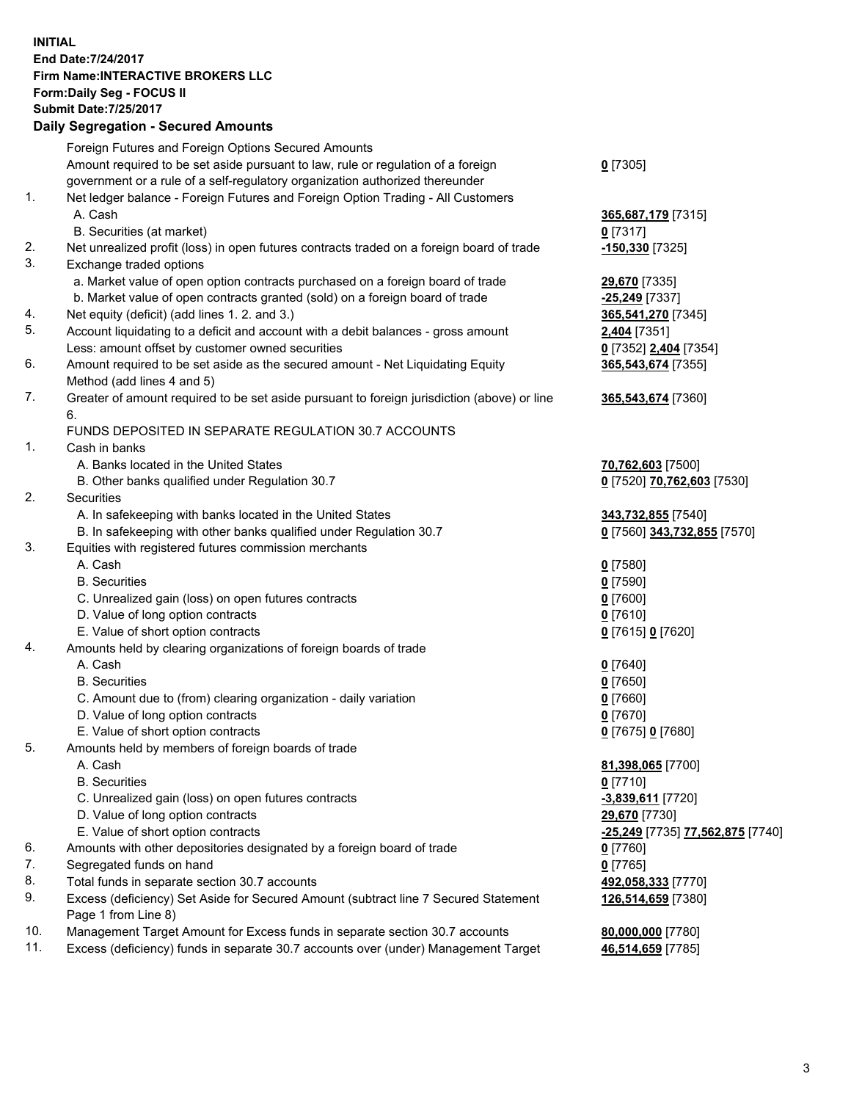## **INITIAL End Date:7/24/2017 Firm Name:INTERACTIVE BROKERS LLC Form:Daily Seg - FOCUS II Submit Date:7/25/2017**

|     | <b>JUDINII DAIG.NAJKU I</b><br><b>Daily Segregation - Secured Amounts</b>                   |                                         |
|-----|---------------------------------------------------------------------------------------------|-----------------------------------------|
|     | Foreign Futures and Foreign Options Secured Amounts                                         |                                         |
|     | Amount required to be set aside pursuant to law, rule or regulation of a foreign            | $0$ [7305]                              |
|     | government or a rule of a self-regulatory organization authorized thereunder                |                                         |
| 1.  | Net ledger balance - Foreign Futures and Foreign Option Trading - All Customers             |                                         |
|     | A. Cash<br>B. Securities (at market)                                                        | 365,687,179 [7315]<br>$0$ [7317]        |
| 2.  | Net unrealized profit (loss) in open futures contracts traded on a foreign board of trade   | -150,330 <sup>[7325]</sup>              |
| 3.  | Exchange traded options                                                                     |                                         |
|     | a. Market value of open option contracts purchased on a foreign board of trade              | 29,670 [7335]                           |
|     | b. Market value of open contracts granted (sold) on a foreign board of trade                | -25,249 [7337]                          |
| 4.  | Net equity (deficit) (add lines 1.2. and 3.)                                                | 365,541,270 [7345]                      |
| 5.  | Account liquidating to a deficit and account with a debit balances - gross amount           | 2,404 [7351]                            |
|     | Less: amount offset by customer owned securities                                            | 0 [7352] 2,404 [7354]                   |
| 6.  | Amount required to be set aside as the secured amount - Net Liquidating Equity              | 365,543,674 [7355]                      |
|     | Method (add lines 4 and 5)                                                                  |                                         |
| 7.  | Greater of amount required to be set aside pursuant to foreign jurisdiction (above) or line | 365,543,674 [7360]                      |
|     | 6.                                                                                          |                                         |
|     | FUNDS DEPOSITED IN SEPARATE REGULATION 30.7 ACCOUNTS                                        |                                         |
| 1.  | Cash in banks                                                                               |                                         |
|     | A. Banks located in the United States                                                       | 70,762,603 [7500]                       |
|     | B. Other banks qualified under Regulation 30.7                                              | 0 [7520] 70,762,603 [7530]              |
| 2.  | Securities                                                                                  |                                         |
|     | A. In safekeeping with banks located in the United States                                   | 343,732,855 [7540]                      |
|     | B. In safekeeping with other banks qualified under Regulation 30.7                          | 0 [7560] 343,732,855 [7570]             |
| 3.  | Equities with registered futures commission merchants                                       |                                         |
|     | A. Cash                                                                                     | $0$ [7580]                              |
|     | <b>B.</b> Securities                                                                        | $0$ [7590]                              |
|     | C. Unrealized gain (loss) on open futures contracts                                         | $0$ [7600]                              |
|     | D. Value of long option contracts                                                           | $0$ [7610]                              |
|     | E. Value of short option contracts                                                          | 0 [7615] 0 [7620]                       |
| 4.  | Amounts held by clearing organizations of foreign boards of trade<br>A. Cash                |                                         |
|     | <b>B.</b> Securities                                                                        | $0$ [7640]                              |
|     | C. Amount due to (from) clearing organization - daily variation                             | $0$ [7650]<br>$0$ [7660]                |
|     | D. Value of long option contracts                                                           | $0$ [7670]                              |
|     | E. Value of short option contracts                                                          | 0 [7675] 0 [7680]                       |
| 5.  | Amounts held by members of foreign boards of trade                                          |                                         |
|     | A. Cash                                                                                     | 81,398,065 [7700]                       |
|     | <b>B.</b> Securities                                                                        | $0$ [7710]                              |
|     | C. Unrealized gain (loss) on open futures contracts                                         | -3,839,611 [7720]                       |
|     | D. Value of long option contracts                                                           | 29,670 [7730]                           |
|     | E. Value of short option contracts                                                          | <u>-25,249</u> [7735] 77,562,875 [7740] |
| 6.  | Amounts with other depositories designated by a foreign board of trade                      | 0 [7760]                                |
| 7.  | Segregated funds on hand                                                                    | $0$ [7765]                              |
| 8.  | Total funds in separate section 30.7 accounts                                               | 492,058,333 [7770]                      |
| 9.  | Excess (deficiency) Set Aside for Secured Amount (subtract line 7 Secured Statement         | 126,514,659 [7380]                      |
|     | Page 1 from Line 8)                                                                         |                                         |
| 10. | Management Target Amount for Excess funds in separate section 30.7 accounts                 | 80,000,000 [7780]                       |
| 11. | Excess (deficiency) funds in separate 30.7 accounts over (under) Management Target          | 46,514,659 [7785]                       |
|     |                                                                                             |                                         |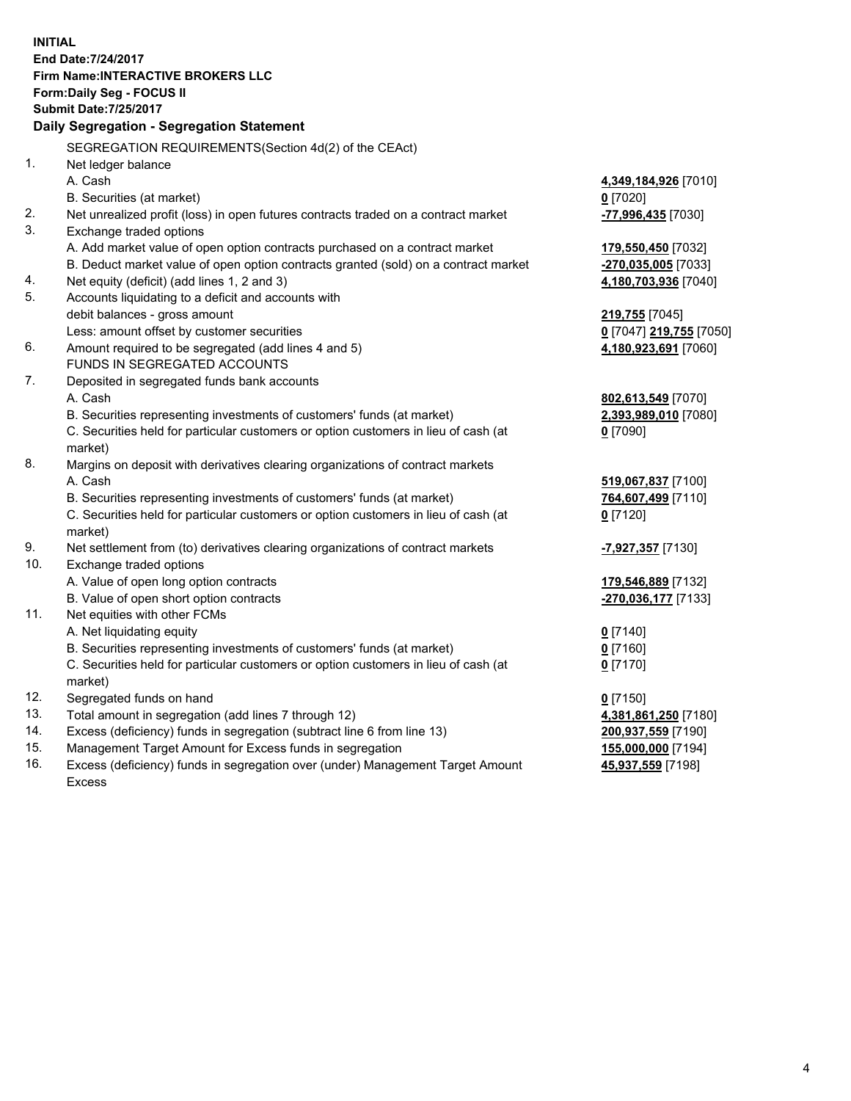**INITIAL End Date:7/24/2017 Firm Name:INTERACTIVE BROKERS LLC Form:Daily Seg - FOCUS II Submit Date:7/25/2017 Daily Segregation - Segregation Statement** SEGREGATION REQUIREMENTS(Section 4d(2) of the CEAct) 1. Net ledger balance A. Cash **4,349,184,926** [7010] B. Securities (at market) **0** [7020] 2. Net unrealized profit (loss) in open futures contracts traded on a contract market **-77,996,435** [7030] 3. Exchange traded options A. Add market value of open option contracts purchased on a contract market **179,550,450** [7032] B. Deduct market value of open option contracts granted (sold) on a contract market **-270,035,005** [7033] 4. Net equity (deficit) (add lines 1, 2 and 3) **4,180,703,936** [7040] 5. Accounts liquidating to a deficit and accounts with debit balances - gross amount **219,755** [7045] Less: amount offset by customer securities **0** [7047] **219,755** [7050] 6. Amount required to be segregated (add lines 4 and 5) **4,180,923,691** [7060] FUNDS IN SEGREGATED ACCOUNTS 7. Deposited in segregated funds bank accounts A. Cash **802,613,549** [7070] B. Securities representing investments of customers' funds (at market) **2,393,989,010** [7080] C. Securities held for particular customers or option customers in lieu of cash (at market) **0** [7090] 8. Margins on deposit with derivatives clearing organizations of contract markets A. Cash **519,067,837** [7100] B. Securities representing investments of customers' funds (at market) **764,607,499** [7110] C. Securities held for particular customers or option customers in lieu of cash (at market) **0** [7120] 9. Net settlement from (to) derivatives clearing organizations of contract markets **-7,927,357** [7130] 10. Exchange traded options A. Value of open long option contracts **179,546,889** [7132] B. Value of open short option contracts **-270,036,177** [7133] 11. Net equities with other FCMs A. Net liquidating equity **0** [7140] B. Securities representing investments of customers' funds (at market) **0** [7160] C. Securities held for particular customers or option customers in lieu of cash (at market) **0** [7170] 12. Segregated funds on hand **0** [7150] 13. Total amount in segregation (add lines 7 through 12) **4,381,861,250** [7180] 14. Excess (deficiency) funds in segregation (subtract line 6 from line 13) **200,937,559** [7190] 15. Management Target Amount for Excess funds in segregation **155,000,000** [7194]

16. Excess (deficiency) funds in segregation over (under) Management Target Amount Excess

**45,937,559** [7198]